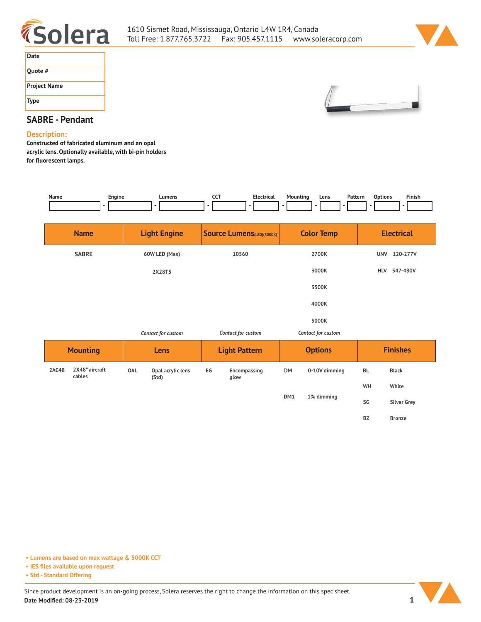



| Date                |
|---------------------|
| Quote #             |
| <b>Project Name</b> |
| <b>Type</b>         |



## **SABRE - Pendant**

## **Description:**

**Constructed of fabricated aluminum and an opal acrylic lens. Optionally available, with bi-pin holders for fluorescent lamps.** 

| Name            | Engine<br>-              |                     | Lumens                     | <b>CCT</b><br>٠                   | <b>Electrical</b><br>$\overline{a}$ | Mounting<br>-           | Pattern<br>Lens    | <b>Options</b>    | Finish             |
|-----------------|--------------------------|---------------------|----------------------------|-----------------------------------|-------------------------------------|-------------------------|--------------------|-------------------|--------------------|
| <b>Name</b>     |                          | <b>Light Engine</b> |                            | <b>Source Lumens</b> (LED)(5000K) |                                     | <b>Color Temp</b>       |                    | <b>Electrical</b> |                    |
| <b>SABRE</b>    |                          | 60W LED (Max)       |                            | 10560                             |                                     | 2700K                   |                    |                   | UNV 120-277V       |
|                 |                          |                     | 2X28T5                     |                                   |                                     | 3000K<br>3500K<br>4000K |                    | <b>HLV</b>        | 347-480V           |
|                 |                          |                     |                            |                                   |                                     |                         |                    |                   |                    |
|                 |                          |                     |                            |                                   |                                     |                         |                    |                   |                    |
|                 |                          |                     |                            |                                   |                                     |                         | 5000K              |                   |                    |
|                 |                          | Contact for custom  |                            |                                   | Contact for custom                  |                         | Contact for custom |                   |                    |
| <b>Mounting</b> |                          | Lens                |                            | <b>Light Pattern</b>              |                                     | <b>Options</b>          |                    | <b>Finishes</b>   |                    |
| 2AC48           | 2X48" aircraft<br>cables | <b>OAL</b>          | Opal acrylic lens<br>(Std) | EG                                | Encompassing<br>glow                | <b>DM</b>               | 0-10V dimming      | <b>BL</b>         | <b>Black</b>       |
|                 |                          |                     |                            |                                   |                                     |                         |                    | WH                | White              |
|                 |                          |                     |                            |                                   |                                     | DM1<br>1% dimming       |                    | SG                | <b>Silver Grey</b> |
|                 |                          |                     |                            |                                   |                                     |                         |                    | BZ                | <b>Bronze</b>      |

**• Lumens are based on max wattage & 5000K CCT**

**• IES files available upon request**

**• Std - Standard Offering**